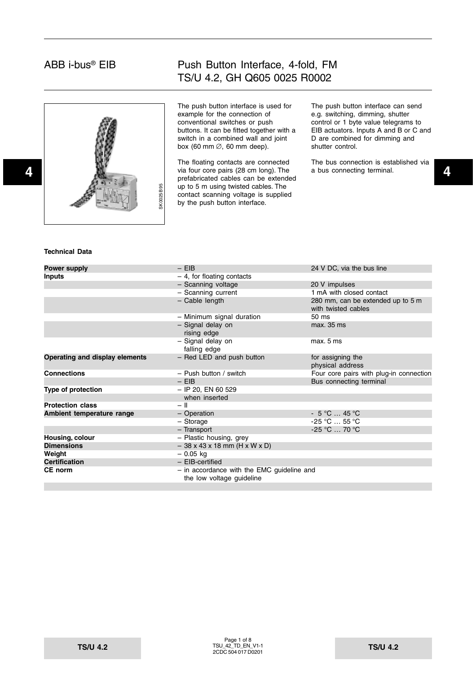

## Push Button Interface, 4-fold, FM TS/U 4.2, GH Q605 0025 R0002

The push button interface is used for example for the connection of conventional switches or push buttons. It can be fitted together with a switch in a combined wall and joint box (60 mm  $\varnothing$ , 60 mm deep).

The floating contacts are connected prefabricated cables can be extended up to 5 m using twisted cables. The contact scanning voltage is supplied by the push button interface.

The push button interface can send e.g. switching, dimming, shutter control or 1 byte value telegrams to EIB actuators. Inputs A and B or C and D are combined for dimming and shutter control.

The bus connection is established via a bus connecting terminal.

#### **Technical Data**

| <b>Power supply</b>            | $-$ EIB                                                                   | 24 V DC, via the bus line                                |
|--------------------------------|---------------------------------------------------------------------------|----------------------------------------------------------|
| Inputs                         | $-4$ , for floating contacts                                              |                                                          |
|                                | - Scanning voltage                                                        | 20 V impulses                                            |
|                                | - Scanning current                                                        | 1 mA with closed contact                                 |
|                                | - Cable length                                                            | 280 mm, can be extended up to 5 m<br>with twisted cables |
|                                | - Minimum signal duration                                                 | 50 ms                                                    |
|                                | - Signal delay on<br>rising edge                                          | max. 35 ms                                               |
|                                | - Signal delay on<br>falling edge                                         | max. 5 ms                                                |
| Operating and display elements | - Red LED and push button                                                 | for assigning the                                        |
|                                |                                                                           | physical address                                         |
| <b>Connections</b>             | $-$ Push button / switch                                                  | Four core pairs with plug-in connection                  |
|                                | $-$ EIB                                                                   | Bus connecting terminal                                  |
| Type of protection             | $-$ IP 20, EN 60 529                                                      |                                                          |
|                                | when inserted                                                             |                                                          |
| <b>Protection class</b>        | $-$ II                                                                    |                                                          |
| Ambient temperature range      | - Operation                                                               | $-5^{\circ}$ C  45 $^{\circ}$ C                          |
|                                | - Storage                                                                 | $-25$ °C $\ldots$ 55 °C                                  |
|                                | - Transport                                                               | $-25$ °C $\ldots$ 70 °C                                  |
| Housing, colour                | - Plastic housing, grey                                                   |                                                          |
| <b>Dimensions</b>              | $-38x43x18$ mm (H x W x D)                                                |                                                          |
| Weight                         | $-0.05$ kg                                                                |                                                          |
| Certification                  | $-$ EIB-certified                                                         |                                                          |
| CE norm                        | $-$ in accordance with the EMC guideline and<br>the low voltage guideline |                                                          |
|                                |                                                                           |                                                          |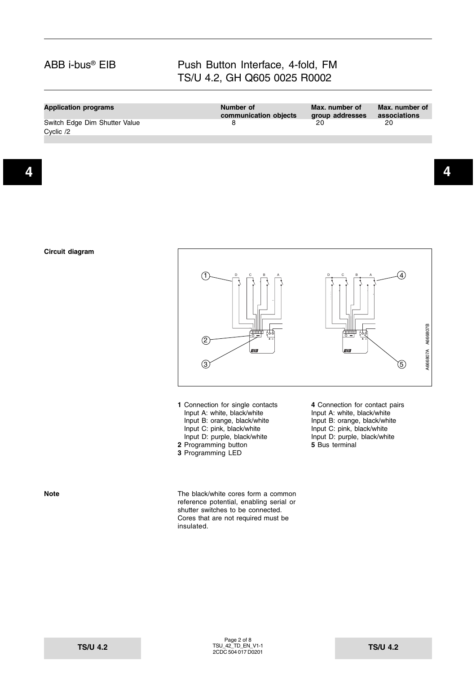### Push Button Interface, 4-fold, FM TS/U 4.2, GH Q605 0025 R0002

| <b>Application programs</b>                | Number of<br>communication objects | Max. number of<br>group addresses | Max. number of<br>associations |
|--------------------------------------------|------------------------------------|-----------------------------------|--------------------------------|
| Switch Edge Dim Shutter Value<br>Cvclic /2 |                                    | 20.                               | 20                             |
|                                            |                                    |                                   |                                |



- Input A: white, black/white Input A: white, black/white<br>Input B: orange, black/white Input B: orange, black/white Input C: pink, black/white Input C: pink, black/white **2** Programming button
- **3** Programming LED

**1** Connection for single contacts **4** Connection for contact pairs Input B: orange, black/white Input C: pink, black/white<br>Input D: purple, black/white<br>5 Bus terminal

**Note Note** The black/white cores form a common reference potential, enabling serial or shutter switches to be connected. Cores that are not required must be insulated.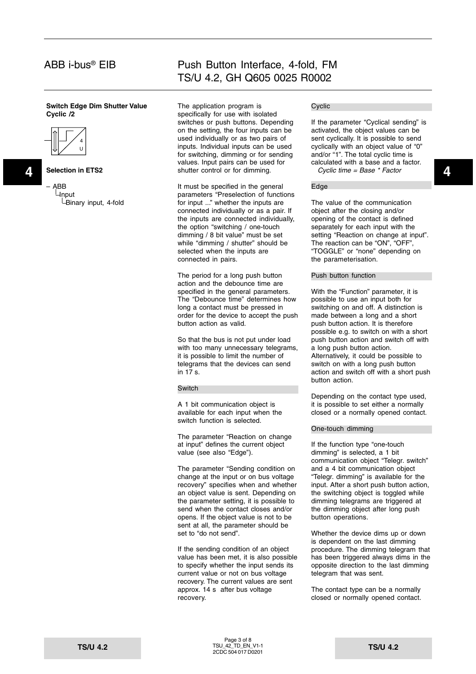#### **Switch Edge Dim Shutter Value Cyclic /2**



**Selection in ETS2**

– ABB **Linput** Binary input, 4-fold

### Push Button Interface, 4-fold, FM TS/U 4.2, GH Q605 0025 R0002

**4 4** shutter control or for dimming. The application program is specifically for use with isolated switches or push buttons. Depending on the setting, the four inputs can be used individually or as two pairs of inputs. Individual inputs can be used for switching, dimming or for sending values. Input pairs can be used for

> It must be specified in the general parameters "Preselection of functions for input ..." whether the inputs are connected individually or as a pair. If the inputs are connected individually, the option "switching / one-touch dimming / 8 bit value" must be set while "dimming / shutter" should be selected when the inputs are connected in pairs.

The period for a long push button action and the debounce time are specified in the general parameters. The "Debounce time" determines how long a contact must be pressed in order for the device to accept the push button action as valid.

So that the bus is not put under load with too many unnecessary telegrams, it is possible to limit the number of telegrams that the devices can send in 17 s.

#### Switch

A 1 bit communication object is available for each input when the switch function is selected.

The parameter "Reaction on change at input" defines the current object value (see also "Edge").

The parameter "Sending condition on change at the input or on bus voltage recovery" specifies when and whether an object value is sent. Depending on the parameter setting, it is possible to send when the contact closes and/or opens. If the object value is not to be sent at all, the parameter should be set to "do not send".

If the sending condition of an object value has been met, it is also possible to specify whether the input sends its current value or not on bus voltage recovery. The current values are sent approx. 14 s after bus voltage recovery.

#### Cyclic

If the parameter "Cyclical sending" is activated, the object values can be sent cyclically. It is possible to send cyclically with an object value of "0" and/or "1". The total cyclic time is calculated with a base and a factor. Cyclic time = Base \* Factor

#### Edge

The value of the communication object after the closing and/or opening of the contact is defined separately for each input with the setting "Reaction on change at input". The reaction can be "ON", "OFF", "TOGGLE" or "none" depending on the parameterisation.

#### Push button function

With the "Function" parameter, it is possible to use an input both for switching on and off. A distinction is made between a long and a short push button action. It is therefore possible e.g. to switch on with a short push button action and switch off with a long push button action. Alternatively, it could be possible to switch on with a long push button action and switch off with a short push button action.

Depending on the contact type used, it is possible to set either a normally closed or a normally opened contact.

#### One-touch dimming

If the function type "one-touch dimming" is selected, a 1 bit communication object "Telegr. switch" and a 4 bit communication object "Telegr. dimming" is available for the input. After a short push button action, the switching object is toggled while dimming telegrams are triggered at the dimming object after long push button operations.

Whether the device dims up or down is dependent on the last dimming procedure. The dimming telegram that has been triggered always dims in the opposite direction to the last dimming telegram that was sent.

The contact type can be a normally closed or normally opened contact.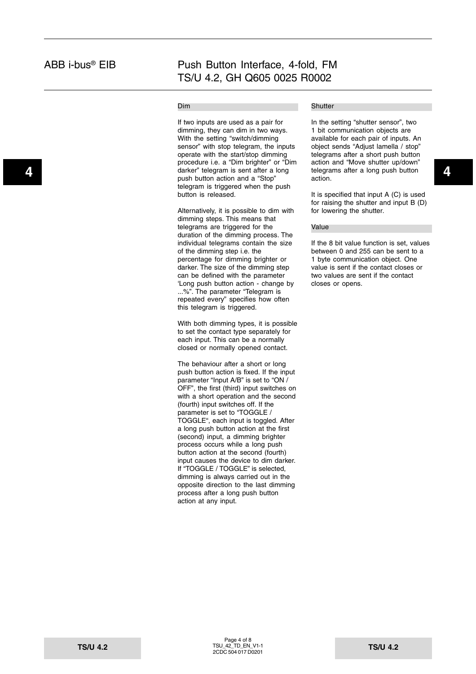#### Dim

**4 4** darker" telegram is sent after a long If two inputs are used as a pair for dimming, they can dim in two ways. With the setting "switch/dimming sensor" with stop telegram, the inputs operate with the start/stop dimming procedure i.e. a "Dim brighter" or "Dim push button action and a "Stop" telegram is triggered when the push button is released.

> Alternatively, it is possible to dim with dimming steps. This means that telegrams are triggered for the duration of the dimming process. The individual telegrams contain the size of the dimming step i.e. the percentage for dimming brighter or darker. The size of the dimming step can be defined with the parameter 'Long push button action - change by ...%". The parameter "Telegram is repeated every" specifies how often this telegram is triggered.

With both dimming types, it is possible to set the contact type separately for each input. This can be a normally closed or normally opened contact.

The behaviour after a short or long push button action is fixed. If the input parameter "Input A/B" is set to "ON / OFF", the first (third) input switches on with a short operation and the second (fourth) input switches off. If the parameter is set to "TOGGLE / TOGGLE", each input is toggled. After a long push button action at the first (second) input, a dimming brighter process occurs while a long push button action at the second (fourth) input causes the device to dim darker. If "TOGGLE / TOGGLE" is selected, dimming is always carried out in the opposite direction to the last dimming process after a long push button action at any input.

### **Shutter**

In the setting "shutter sensor", two 1 bit communication objects are available for each pair of inputs. An object sends "Adjust lamella / stop" telegrams after a short push button action and "Move shutter up/down" telegrams after a long push button action.

It is specified that input A (C) is used for raising the shutter and input B (D) for lowering the shutter.

#### Value

If the 8 bit value function is set, values between 0 and 255 can be sent to a 1 byte communication object. One value is sent if the contact closes or two values are sent if the contact closes or opens.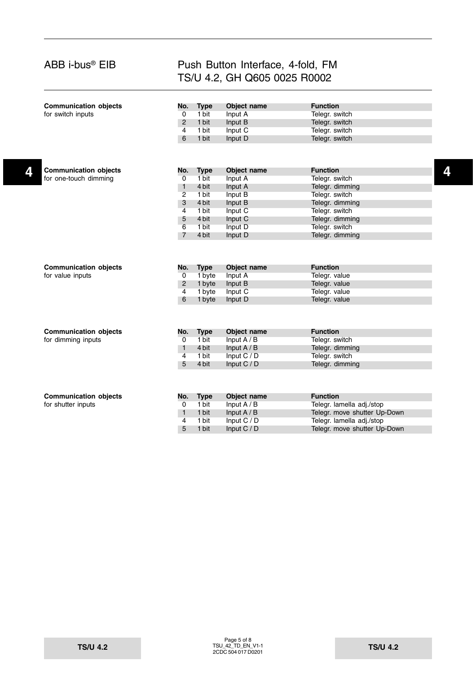| <b>Communication objects</b> | No.            | <b>Type</b> | Object name   | <b>Function</b>              |   |
|------------------------------|----------------|-------------|---------------|------------------------------|---|
| for switch inputs            | $\overline{0}$ | 1 bit       | Input A       | Telegr. switch               |   |
|                              | $\overline{2}$ | 1 bit       | Input B       | Telegr. switch               |   |
|                              | 4              | 1 bit       | Input C       | Telegr. switch               |   |
|                              | 6              | 1 bit       | Input D       | Telegr. switch               |   |
|                              |                |             |               |                              |   |
| <b>Communication objects</b> | No.            | <b>Type</b> | Object name   | <b>Function</b>              | 4 |
| for one-touch dimming        | $\overline{0}$ | 1 bit       | Input A       | Telegr. switch               |   |
|                              | $\overline{1}$ | 4 bit       | Input A       | Telegr. dimming              |   |
|                              | $\overline{2}$ | 1 bit       | Input B       | Telegr. switch               |   |
|                              | 3              | 4 bit       | Input B       | Telegr. dimming              |   |
|                              | $\overline{4}$ | 1 bit       | Input C       | Telegr. switch               |   |
|                              | 5              | 4 bit       | Input C       | Telegr. dimming              |   |
|                              | 6              | 1 bit       | Input D       | Telegr. switch               |   |
|                              | $\overline{7}$ | 4 bit       | Input D       | Telegr. dimming              |   |
|                              |                |             |               |                              |   |
| <b>Communication objects</b> | No.            | <b>Type</b> | Object name   | <b>Function</b>              |   |
| for value inputs             | $\overline{0}$ | 1 byte      | Input A       | Telegr. value                |   |
|                              | $\overline{2}$ | 1 byte      | Input B       | Telegr. value                |   |
|                              | $\overline{4}$ | 1 byte      | Input C       | Telegr. value                |   |
|                              | 6              | 1 byte      | Input D       | Telegr. value                |   |
| <b>Communication objects</b> | No.            | <b>Type</b> | Object name   | <b>Function</b>              |   |
| for dimming inputs           | 0              | 1 bit       | Input $A / B$ | Telegr. switch               |   |
|                              | $\mathbf{1}$   | 4 bit       | Input $A/B$   | Telegr. dimming              |   |
|                              | 4              | 1 bit       | Input C / D   | Telegr. switch               |   |
|                              | 5              | 4 bit       | Input $C / D$ | Telegr. dimming              |   |
|                              |                |             |               |                              |   |
| <b>Communication objects</b> | No.            | <b>Type</b> | Object name   | <b>Function</b>              |   |
| for shutter inputs           | $\overline{0}$ | 1 bit       | Input $A / B$ | Telegr. lamella adj./stop    |   |
|                              | $\mathbf{1}$   | 1 bit       | Input $A / B$ | Telegr. move shutter Up-Down |   |
|                              | 4              | 1 bit       | Input C / D   | Telegr. lamella adj./stop    |   |
|                              | 5              | 1 bit       | Input $C / D$ | Telegr. move shutter Up-Down |   |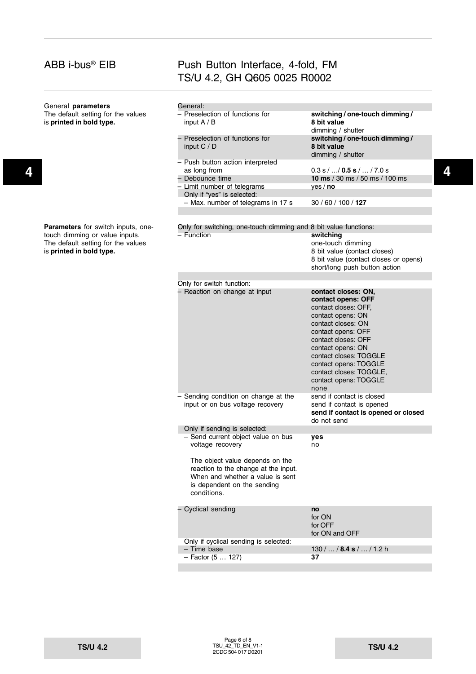| General parameters                                             | General:                                                         |                                                                     |   |
|----------------------------------------------------------------|------------------------------------------------------------------|---------------------------------------------------------------------|---|
| The default setting for the values<br>is printed in bold type. | - Preselection of functions for<br>input $A / B$                 | switching / one-touch dimming /<br>8 bit value                      |   |
|                                                                | - Preselection of functions for<br>input $C / D$                 | dimming / shutter<br>switching / one-touch dimming /<br>8 bit value |   |
|                                                                |                                                                  | dimming / shutter                                                   |   |
|                                                                | - Push button action interpreted<br>as long from                 | $0.3$ s $/$ $/$ 0.5 s $/$ $/$ 7.0 s                                 | 4 |
|                                                                | – Debounce time                                                  | <b>10 ms</b> / 30 ms / 50 ms / 100 ms                               |   |
|                                                                | - Limit number of telegrams<br>Only if "yes" is selected:        | yes/no                                                              |   |
|                                                                | - Max. number of telegrams in 17 s                               | 30 / 60 / 100 / 127                                                 |   |
| Parameters for switch inputs, one-                             | Only for switching, one-touch dimming and 8 bit value functions: |                                                                     |   |
| touch dimming or value inputs.                                 | - Function                                                       | switching                                                           |   |
| The default setting for the values                             |                                                                  | one-touch dimming                                                   |   |
| is printed in bold type.                                       |                                                                  | 8 bit value (contact closes)                                        |   |
|                                                                |                                                                  | 8 bit value (contact closes or opens)                               |   |
|                                                                |                                                                  | short/long push button action                                       |   |
|                                                                | Only for switch function:                                        |                                                                     |   |
|                                                                | - Reaction on change at input                                    | contact closes: ON,                                                 |   |
|                                                                |                                                                  | contact opens: OFF                                                  |   |
|                                                                |                                                                  | contact closes: OFF,                                                |   |
|                                                                |                                                                  | contact opens: ON                                                   |   |
|                                                                |                                                                  | contact closes: ON                                                  |   |
|                                                                |                                                                  | contact opens: OFF                                                  |   |
|                                                                |                                                                  | contact closes: OFF                                                 |   |
|                                                                |                                                                  | contact opens: ON                                                   |   |
|                                                                |                                                                  | contact closes: TOGGLE                                              |   |
|                                                                |                                                                  | contact opens: TOGGLE                                               |   |
|                                                                |                                                                  | contact closes: TOGGLE,                                             |   |
|                                                                |                                                                  | contact opens: TOGGLE                                               |   |
|                                                                |                                                                  | none                                                                |   |
|                                                                | - Sending condition on change at the                             | send if contact is closed                                           |   |
|                                                                | input or on bus voltage recovery                                 | send if contact is opened                                           |   |
|                                                                |                                                                  | send if contact is opened or closed                                 |   |
|                                                                | Only if sending is selected:                                     | do not send                                                         |   |
|                                                                | - Send current object value on bus                               | yes                                                                 |   |
|                                                                | voltage recovery                                                 | no                                                                  |   |
|                                                                | The object value depends on the                                  |                                                                     |   |
|                                                                | reaction to the change at the input.                             |                                                                     |   |
|                                                                | When and whether a value is sent                                 |                                                                     |   |
|                                                                | is dependent on the sending                                      |                                                                     |   |
|                                                                | conditions.                                                      |                                                                     |   |
|                                                                | - Cyclical sending                                               | no                                                                  |   |
|                                                                |                                                                  | for ON                                                              |   |
|                                                                |                                                                  | for OFF                                                             |   |
|                                                                |                                                                  | for ON and OFF                                                      |   |
|                                                                | Only if cyclical sending is selected:                            |                                                                     |   |
|                                                                | - Time base                                                      | $130/$ / 8.4 s /  / 1.2 h                                           |   |
|                                                                | - Factor (5  127)                                                | 37                                                                  |   |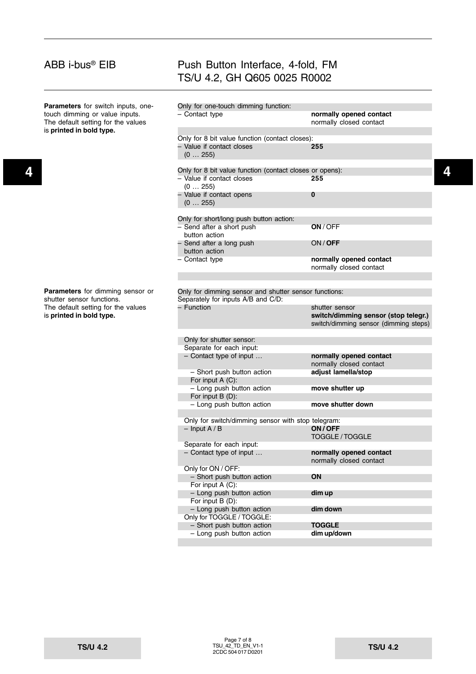|  | <b>Parameters</b> for switch inputs, one-                                                        | Only for one-touch dimming function:                     |                                                    |   |
|--|--------------------------------------------------------------------------------------------------|----------------------------------------------------------|----------------------------------------------------|---|
|  | touch dimming or value inputs.<br>The default setting for the values<br>is printed in bold type. | - Contact type                                           | normally opened contact<br>normally closed contact |   |
|  |                                                                                                  | Only for 8 bit value function (contact closes):          |                                                    |   |
|  |                                                                                                  | - Value if contact closes                                | 255                                                |   |
|  |                                                                                                  | (0255)                                                   |                                                    |   |
|  |                                                                                                  |                                                          |                                                    |   |
|  |                                                                                                  | Only for 8 bit value function (contact closes or opens): |                                                    | 4 |
|  |                                                                                                  | - Value if contact closes                                | 255                                                |   |
|  |                                                                                                  | (0255)                                                   |                                                    |   |
|  |                                                                                                  | - Value if contact opens                                 | $\bf{0}$                                           |   |
|  |                                                                                                  | (0255)                                                   |                                                    |   |
|  |                                                                                                  | Only for short/long push button action:                  |                                                    |   |
|  |                                                                                                  | - Send after a short push                                | ON / OFF                                           |   |
|  |                                                                                                  | button action                                            |                                                    |   |
|  |                                                                                                  | - Send after a long push                                 | ON/OFF                                             |   |
|  |                                                                                                  | button action                                            |                                                    |   |
|  |                                                                                                  | - Contact type                                           | normally opened contact                            |   |
|  |                                                                                                  |                                                          | normally closed contact                            |   |
|  |                                                                                                  |                                                          |                                                    |   |
|  |                                                                                                  |                                                          |                                                    |   |
|  | Parameters for dimming sensor or                                                                 | Only for dimming sensor and shutter sensor functions:    |                                                    |   |
|  | shutter sensor functions.                                                                        | Separately for inputs A/B and C/D:                       |                                                    |   |
|  | The default setting for the values                                                               | - Function                                               | shutter sensor                                     |   |
|  | is printed in bold type.                                                                         |                                                          | switch/dimming sensor (stop telegr.)               |   |
|  |                                                                                                  |                                                          | switch/dimming sensor (dimming steps)              |   |
|  |                                                                                                  |                                                          |                                                    |   |
|  |                                                                                                  | Only for shutter sensor:                                 |                                                    |   |
|  |                                                                                                  | Separate for each input:                                 |                                                    |   |
|  |                                                                                                  | - Contact type of input                                  | normally opened contact<br>normally closed contact |   |
|  |                                                                                                  | - Short push button action                               | adjust lamella/stop                                |   |
|  |                                                                                                  | For input $A(C)$ :                                       |                                                    |   |
|  |                                                                                                  | - Long push button action                                | move shutter up                                    |   |
|  |                                                                                                  | For input $B(D)$ :                                       |                                                    |   |
|  |                                                                                                  | - Long push button action                                | move shutter down                                  |   |
|  |                                                                                                  |                                                          |                                                    |   |
|  |                                                                                                  | Only for switch/dimming sensor with stop telegram:       |                                                    |   |
|  |                                                                                                  | $-$ Input A / B                                          | ON/OFF                                             |   |
|  |                                                                                                  |                                                          | TOGGLE / TOGGLE                                    |   |
|  |                                                                                                  | Separate for each input:                                 |                                                    |   |
|  |                                                                                                  | $-$ Contact type of input $\ldots$                       | normally opened contact                            |   |
|  |                                                                                                  |                                                          | normally closed contact                            |   |
|  |                                                                                                  | Only for ON / OFF:                                       |                                                    |   |
|  |                                                                                                  | - Short push button action                               | ON                                                 |   |
|  |                                                                                                  | For input A (C):                                         |                                                    |   |
|  |                                                                                                  | - Long push button action                                | dim up                                             |   |
|  |                                                                                                  | For input B (D):                                         |                                                    |   |
|  |                                                                                                  | - Long push button action                                | dim down                                           |   |
|  |                                                                                                  | Only for TOGGLE / TOGGLE:                                |                                                    |   |
|  |                                                                                                  | - Short push button action                               | <b>TOGGLE</b>                                      |   |
|  |                                                                                                  | - Long push button action                                | dim up/down                                        |   |